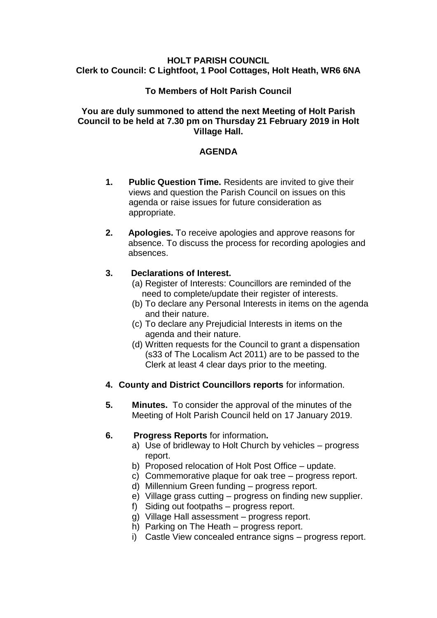#### **HOLT PARISH COUNCIL Clerk to Council: C Lightfoot, 1 Pool Cottages, Holt Heath, WR6 6NA**

# **To Members of Holt Parish Council**

### **You are duly summoned to attend the next Meeting of Holt Parish Council to be held at 7.30 pm on Thursday 21 February 2019 in Holt Village Hall.**

# **AGENDA**

- **1. Public Question Time.** Residents are invited to give their views and question the Parish Council on issues on this agenda or raise issues for future consideration as appropriate.
- **2. Apologies.** To receive apologies and approve reasons for absence. To discuss the process for recording apologies and absences.

### **3. Declarations of Interest.**

- (a) Register of Interests: Councillors are reminded of the need to complete/update their register of interests.
- (b) To declare any Personal Interests in items on the agenda and their nature.
- (c) To declare any Prejudicial Interests in items on the agenda and their nature.
- (d) Written requests for the Council to grant a dispensation (s33 of The Localism Act 2011) are to be passed to the Clerk at least 4 clear days prior to the meeting.
- **4. County and District Councillors reports** for information.
- **5. Minutes.** To consider the approval of the minutes of the Meeting of Holt Parish Council held on 17 January 2019.

### **6. Progress Reports** for information**.**

- a) Use of bridleway to Holt Church by vehicles progress report.
- b) Proposed relocation of Holt Post Office update.
- c) Commemorative plaque for oak tree progress report.
- d) Millennium Green funding progress report.
- e) Village grass cutting progress on finding new supplier.
- f) Siding out footpaths progress report.
- g) Village Hall assessment progress report.
- h) Parking on The Heath progress report.
- i) Castle View concealed entrance signs progress report.